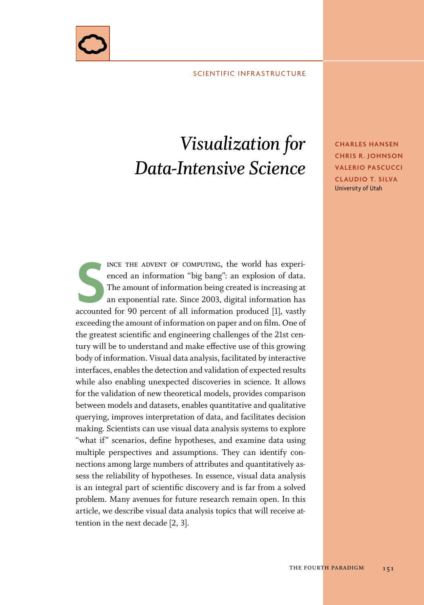# SCIENTIFIC INFRASTRUCTURE



**CHARLES HANSEN CHRIS R. JOHNSON VALERIO PASCUCCI CLAUDIO T. SILVA** University of Utah

INCE THE ADVENT OF COMPUTING, the world has experienced an information "big bang": an explosion of data. The amount of information being created is increasing at an exponential rate. Since 2003, digital information has acc **INCE THE ADVENT OF COMPUTING,** the world has experienced an information "big bang": an explosion of data. The amount of information being created is increasing at an exponential rate. Since 2003, digital information has exceeding the amount of information on paper and on film. One of the greatest scientific and engineering challenges of the 21st century will be to understand and make effective use of this growing body of information. Visual data analysis, facilitated by interactive interfaces, enables the detection and validation of expected results while also enabling unexpected discoveries in science. It allows for the validation of new theoretical models, provides comparison between models and datasets, enables quantitative and qualitative querying, improves interpretation of data, and facilitates decision making. Scientists can use visual data analysis systems to explore "what if" scenarios, define hypotheses, and examine data using multiple perspectives and assumptions. They can identify connections among large numbers of attributes and quantitatively assess the reliability of hypotheses. In essence, visual data analysis is an integral part of scientific discovery and is far from a solved problem. Many avenues for future research remain open. In this article, we describe visual data analysis topics that will receive attention in the next decade [2, 3].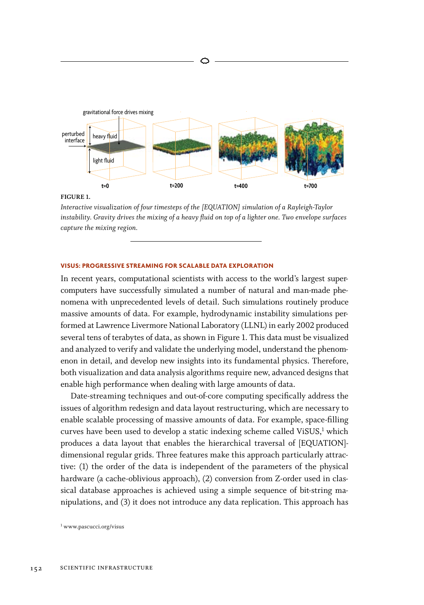

#### **FIGURE 1.**

*Interactive visualization of four timesteps of the [EQUATION] simulation of a Rayleigh-Taylor instability. Gravity drives the mixing of a heavy fluid on top of a lighter one. Two envelope surfaces capture the mixing region.* 

#### **VISUS: PROGRESSIVE STREAMING FOR SCALABLE DATA EXPLORATION**

In recent years, computational scientists with access to the world's largest supercomputers have successfully simulated a number of natural and man-made phenomena with unprecedented levels of detail. Such simulations routinely produce massive amounts of data. For example, hydrodynamic instability simulations performed at Lawrence Livermore National Laboratory (LLNL) in early 2002 produced several tens of terabytes of data, as shown in Figure 1. This data must be visualized and analyzed to verify and validate the underlying model, understand the phenomenon in detail, and develop new insights into its fundamental physics. Therefore, both visualization and data analysis algorithms require new, advanced designs that enable high performance when dealing with large amounts of data.

Date-streaming techniques and out-of-core computing specifically address the issues of algorithm redesign and data layout restructuring, which are necessary to enable scalable processing of massive amounts of data. For example, space-filling curves have been used to develop a static indexing scheme called ViSUS,<sup>1</sup> which produces a data layout that enables the hierarchical traversal of [EQUATION] dimensional regular grids. Three features make this approach particularly attractive: (1) the order of the data is independent of the parameters of the physical hardware (a cache-oblivious approach), (2) conversion from Z-order used in classical database approaches is achieved using a simple sequence of bit-string manipulations, and (3) it does not introduce any data replication. This approach has

1 www.pascucci.org/visus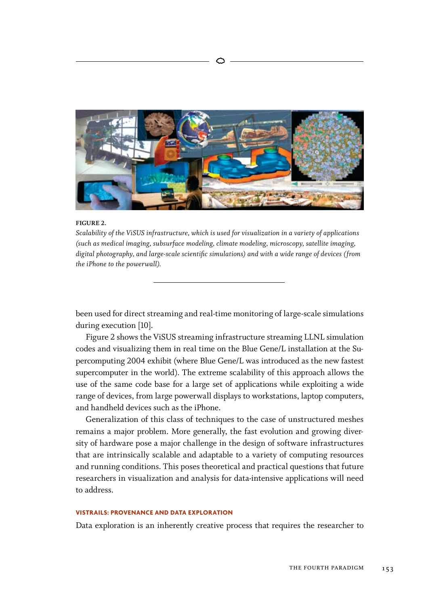

### **FIGURE 2.**

*Scalability of the ViSUS infrastructure, which is used for visualization in a variety of applications (such as medical imaging, subsurface modeling, climate modeling, microscopy, satellite imaging, digital photography, and large-scale scientific simulations) and with a wide range of devices (from the iPhone to the powerwall).* 

been used for direct streaming and real-time monitoring of large-scale simulations during execution [10].

Figure 2 shows the ViSUS streaming infrastructure streaming LLNL simulation codes and visualizing them in real time on the Blue Gene/L installation at the Supercomputing 2004 exhibit (where Blue Gene/L was introduced as the new fastest supercomputer in the world). The extreme scalability of this approach allows the use of the same code base for a large set of applications while exploiting a wide range of devices, from large powerwall displays to workstations, laptop computers, and handheld devices such as the iPhone.

Generalization of this class of techniques to the case of unstructured meshes remains a major problem. More generally, the fast evolution and growing diversity of hardware pose a major challenge in the design of software infrastructures that are intrinsically scalable and adaptable to a variety of computing resources and running conditions. This poses theoretical and practical questions that future researchers in visualization and analysis for data-intensive applications will need to address.

### **VISTRAILS: PROVENANCE AND DATA EXPLORATION**

Data exploration is an inherently creative process that requires the researcher to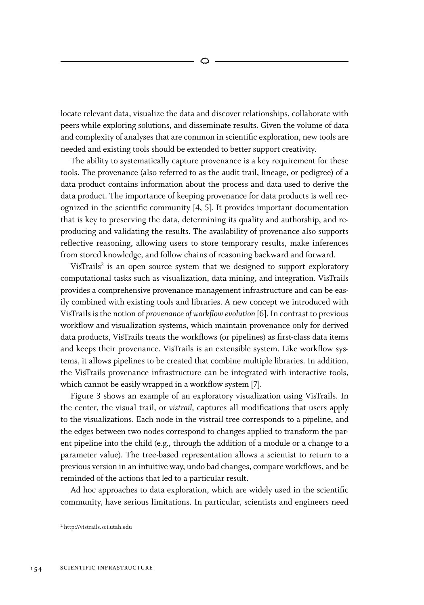locate relevant data, visualize the data and discover relationships, collaborate with peers while exploring solutions, and disseminate results. Given the volume of data and complexity of analyses that are common in scientific exploration, new tools are needed and existing tools should be extended to better support creativity.

The ability to systematically capture provenance is a key requirement for these tools. The provenance (also referred to as the audit trail, lineage, or pedigree) of a data product contains information about the process and data used to derive the data product. The importance of keeping provenance for data products is well recognized in the scientific community [4, 5]. It provides important documentation that is key to preserving the data, determining its quality and authorship, and reproducing and validating the results. The availability of provenance also supports reflective reasoning, allowing users to store temporary results, make inferences from stored knowledge, and follow chains of reasoning backward and forward.

VisTrails<sup>2</sup> is an open source system that we designed to support exploratory computational tasks such as visualization, data mining, and integration. VisTrails provides a comprehensive provenance management infrastructure and can be easily combined with existing tools and libraries. A new concept we introduced with VisTrails is the notion of *provenance of workflow evolution* [6]. In contrast to previous workflow and visualization systems, which maintain provenance only for derived data products, VisTrails treats the workflows (or pipelines) as first-class data items and keeps their provenance. VisTrails is an extensible system. Like workflow systems, it allows pipelines to be created that combine multiple libraries. In addition, the VisTrails provenance infrastructure can be integrated with interactive tools, which cannot be easily wrapped in a workflow system [7].

Figure 3 shows an example of an exploratory visualization using VisTrails. In the center, the visual trail, or *vistrail,* captures all modifications that users apply to the visualizations. Each node in the vistrail tree corresponds to a pipeline, and the edges between two nodes correspond to changes applied to transform the parent pipeline into the child (e.g., through the addition of a module or a change to a parameter value). The tree-based representation allows a scientist to return to a previous version in an intuitive way, undo bad changes, compare workflows, and be reminded of the actions that led to a particular result.

Ad hoc approaches to data exploration, which are widely used in the scientific community, have serious limitations. In particular, scientists and engineers need

2 http://vistrails.sci.utah.edu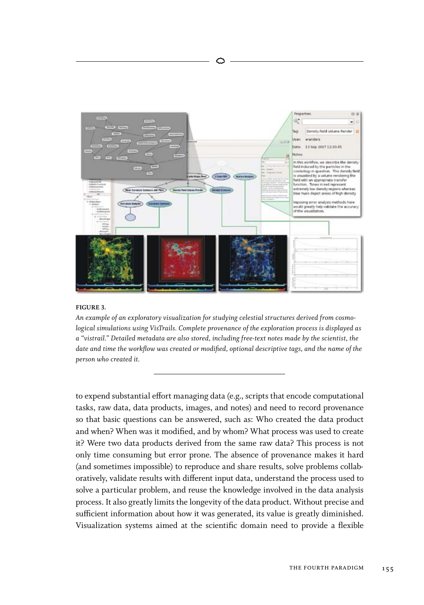

# **FIGURE 3.**

*An example of an exploratory visualization for studying celestial structures derived from cosmological simulations using VisTrails. Complete provenance of the exploration process is displayed as a "vistrail." Detailed metadata are also stored, including free-text notes made by the scientist, the date and time the workflow was created or modified, optional descriptive tags, and the name of the person who created it.*

to expend substantial effort managing data (e.g., scripts that encode computational tasks, raw data, data products, images, and notes) and need to record provenance so that basic questions can be answered, such as: Who created the data product and when? When was it modified, and by whom? What process was used to create it? Were two data products derived from the same raw data? This process is not only time consuming but error prone. The absence of provenance makes it hard (and sometimes impossible) to reproduce and share results, solve problems collaboratively, validate results with different input data, understand the process used to solve a particular problem, and reuse the knowledge involved in the data analysis process. It also greatly limits the longevity of the data product. Without precise and sufficient information about how it was generated, its value is greatly diminished. Visualization systems aimed at the scientific domain need to provide a flexible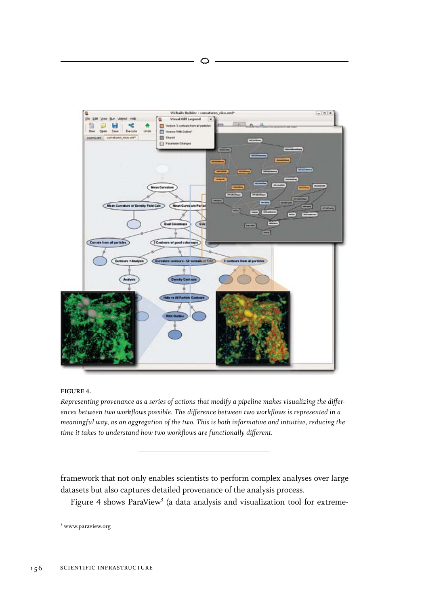

○

## **FIGURE 4.**

Representing provenance as a series of actions that modify a pipeline makes visualizing the differences between two workflows possible. The difference between two workflows is represented in a *meaningful way, as an aggregation of the two. This is both informative and intuitive, reducing the*  time it takes to understand how two workflows are functionally different.

framework that not only enables scientists to perform complex analyses over large datasets but also captures detailed provenance of the analysis process.

Figure 4 shows ParaView<sup>3</sup> (a data analysis and visualization tool for extreme-

<sup>3</sup> www.paraview.org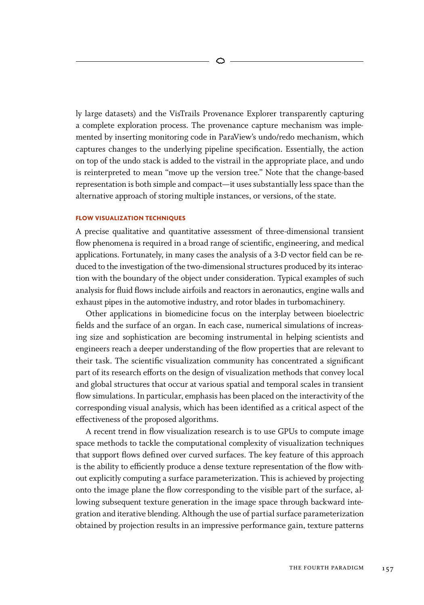ly large datasets) and the VisTrails Provenance Explorer transparently capturing a complete exploration process. The provenance capture mechanism was implemented by inserting monitoring code in ParaView's undo/redo mechanism, which captures changes to the underlying pipeline specification. Essentially, the action on top of the undo stack is added to the vistrail in the appropriate place, and undo is reinterpreted to mean "move up the version tree." Note that the change-based representation is both simple and compact—it uses substantially less space than the alternative approach of storing multiple instances, or versions, of the state.

# **FLOW VISUALIZATION TECHNIQUES**

A precise qualitative and quantitative assessment of three-dimensional transient flow phenomena is required in a broad range of scientific, engineering, and medical applications. Fortunately, in many cases the analysis of a 3-D vector field can be reduced to the investigation of the two-dimensional structures produced by its interaction with the boundary of the object under consideration. Typical examples of such analysis for fluid flows include airfoils and reactors in aeronautics, engine walls and exhaust pipes in the automotive industry, and rotor blades in turbomachinery.

Other applications in biomedicine focus on the interplay between bioelectric fields and the surface of an organ. In each case, numerical simulations of increasing size and sophistication are becoming instrumental in helping scientists and engineers reach a deeper understanding of the flow properties that are relevant to their task. The scientific visualization community has concentrated a significant part of its research efforts on the design of visualization methods that convey local and global structures that occur at various spatial and temporal scales in transient flow simulations. In particular, emphasis has been placed on the interactivity of the corresponding visual analysis, which has been identified as a critical aspect of the effectiveness of the proposed algorithms.

A recent trend in flow visualization research is to use GPUs to compute image space methods to tackle the computational complexity of visualization techniques that support flows defined over curved surfaces. The key feature of this approach is the ability to efficiently produce a dense texture representation of the flow without explicitly computing a surface parameterization. This is achieved by projecting onto the image plane the flow corresponding to the visible part of the surface, allowing subsequent texture generation in the image space through backward integration and iterative blending. Although the use of partial surface parameterization obtained by projection results in an impressive performance gain, texture patterns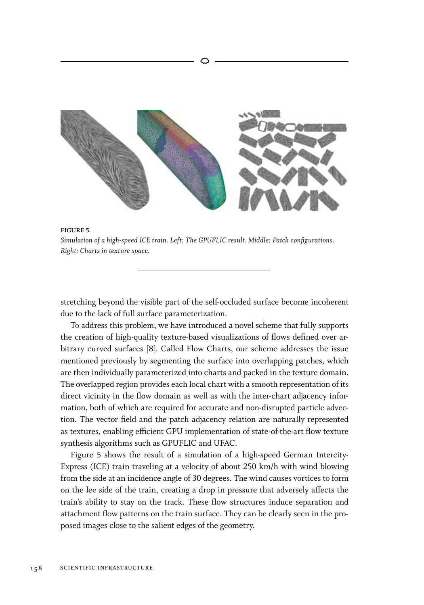

![](_page_7_Figure_1.jpeg)

stretching beyond the visible part of the self-occluded surface become incoherent due to the lack of full surface parameterization.

To address this problem, we have introduced a novel scheme that fully supports the creation of high-quality texture-based visualizations of flows defined over arbitrary curved surfaces [8]. Called Flow Charts, our scheme addresses the issue mentioned previously by segmenting the surface into overlapping patches, which are then individually parameterized into charts and packed in the texture domain. The overlapped region provides each local chart with a smooth representation of its direct vicinity in the flow domain as well as with the inter-chart adjacency information, both of which are required for accurate and non-disrupted particle advection. The vector field and the patch adjacency relation are naturally represented as textures, enabling efficient GPU implementation of state-of-the-art flow texture synthesis algorithms such as GPUFLIC and UFAC.

Figure 5 shows the result of a simulation of a high-speed German Intercity-Express (ICE) train traveling at a velocity of about 250 km/h with wind blowing from the side at an incidence angle of 30 degrees. The wind causes vortices to form on the lee side of the train, creating a drop in pressure that adversely affects the train's ability to stay on the track. These flow structures induce separation and attachment flow patterns on the train surface. They can be clearly seen in the proposed images close to the salient edges of the geometry.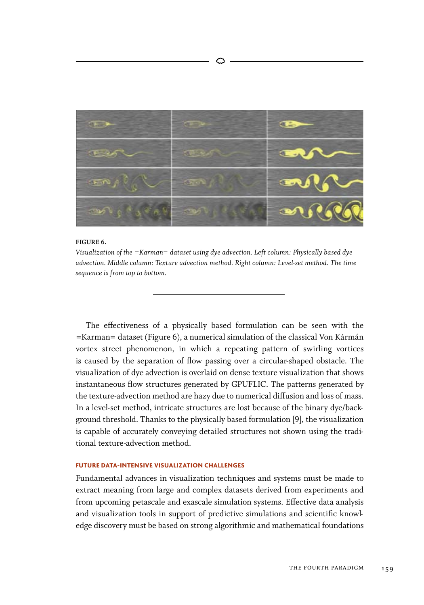![](_page_8_Picture_0.jpeg)

#### **FIGURE 6.**

*Visualization of the =Karman= dataset using dye advection. Left column: Physically based dye advection. Middle column: Texture advection method. Right column: Level-set method. The time sequence is from top to bottom.*

The effectiveness of a physically based formulation can be seen with the =Karman= dataset (Figure 6), a numerical simulation of the classical Von Kármán vortex street phenomenon, in which a repeating pattern of swirling vortices is caused by the separation of flow passing over a circular-shaped obstacle. The visualization of dye advection is overlaid on dense texture visualization that shows instantaneous flow structures generated by GPUFLIC. The patterns generated by the texture-advection method are hazy due to numerical diffusion and loss of mass. In a level-set method, intricate structures are lost because of the binary dye/background threshold. Thanks to the physically based formulation [9], the visualization is capable of accurately conveying detailed structures not shown using the traditional texture-advection method.

# **FUTURE DATA-INTENSIVE VISUALIZATION CHALLENGES**

Fundamental advances in visualization techniques and systems must be made to extract meaning from large and complex datasets derived from experiments and from upcoming petascale and exascale simulation systems. Effective data analysis and visualization tools in support of predictive simulations and scientific knowledge discovery must be based on strong algorithmic and mathematical foundations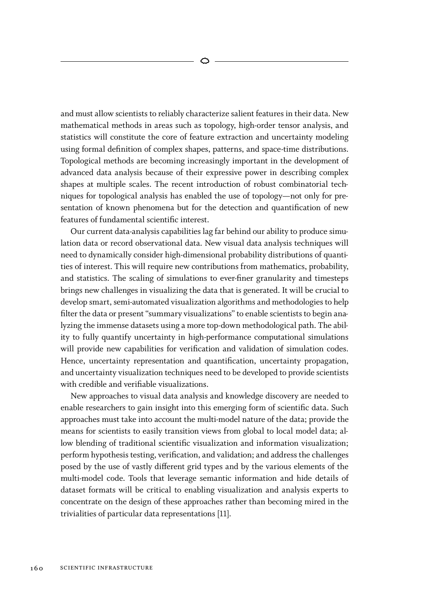and must allow scientists to reliably characterize salient features in their data. New mathematical methods in areas such as topology, high-order tensor analysis, and statistics will constitute the core of feature extraction and uncertainty modeling using formal definition of complex shapes, patterns, and space-time distributions. Topological methods are becoming increasingly important in the development of advanced data analysis because of their expressive power in describing complex shapes at multiple scales. The recent introduction of robust combinatorial techniques for topological analysis has enabled the use of topology—not only for presentation of known phenomena but for the detection and quantification of new features of fundamental scientific interest.

Our current data-analysis capabilities lag far behind our ability to produce simulation data or record observational data. New visual data analysis techniques will need to dynamically consider high-dimensional probability distributions of quantities of interest. This will require new contributions from mathematics, probability, and statistics. The scaling of simulations to ever-finer granularity and timesteps brings new challenges in visualizing the data that is generated. It will be crucial to develop smart, semi-automated visualization algorithms and methodologies to help filter the data or present "summary visualizations" to enable scientists to begin analyzing the immense datasets using a more top-down methodological path. The ability to fully quantify uncertainty in high-performance computational simulations will provide new capabilities for verification and validation of simulation codes. Hence, uncertainty representation and quantification, uncertainty propagation, and uncertainty visualization techniques need to be developed to provide scientists with credible and verifiable visualizations.

New approaches to visual data analysis and knowledge discovery are needed to enable researchers to gain insight into this emerging form of scientific data. Such approaches must take into account the multi-model nature of the data; provide the means for scientists to easily transition views from global to local model data; allow blending of traditional scientific visualization and information visualization; perform hypothesis testing, verification, and validation; and address the challenges posed by the use of vastly different grid types and by the various elements of the multi-model code. Tools that leverage semantic information and hide details of dataset formats will be critical to enabling visualization and analysis experts to concentrate on the design of these approaches rather than becoming mired in the trivialities of particular data representations [11].

O